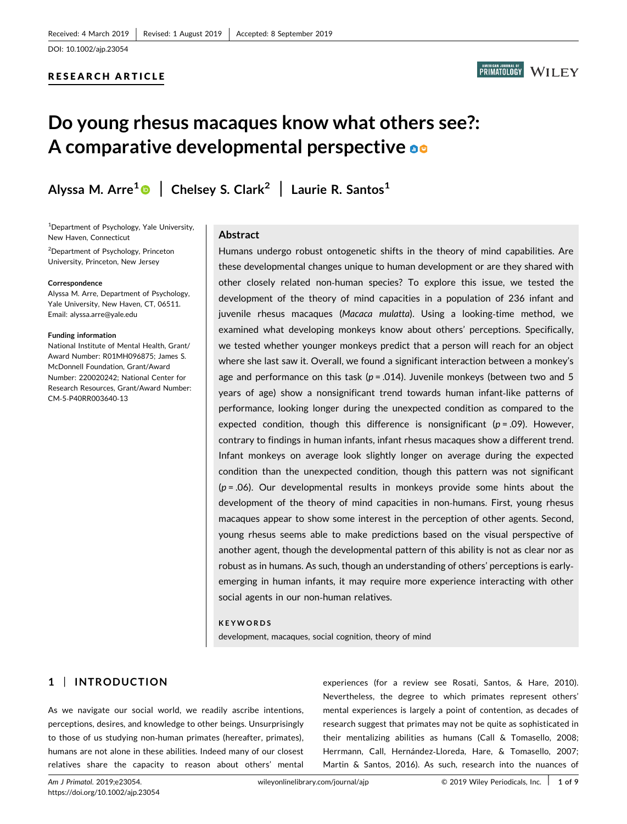## RESEARCH ARTICLE



# Do young rhesus macaques know what others see?: A comparative developmental perspective on

Alyssa M. Arre<sup>[1](http://orcid.org/0000-0002-1974-5067)</sup> | Chelsey S. Clark<sup>2</sup> | Laurie R. Santos<sup>1</sup>

<sup>1</sup>Department of Psychology, Yale University, New Haven, Connecticut

<sup>2</sup>Department of Psychology, Princeton University, Princeton, New Jersey

#### Correspondence

Alyssa M. Arre, Department of Psychology, Yale University, New Haven, CT, 06511. Email: [alyssa.arre@yale.edu](mailto:alyssa.arre@yale.edu)

#### Funding information

National Institute of Mental Health, Grant/ Award Number: R01MH096875; James S. McDonnell Foundation, Grant/Award Number: 220020242; National Center for Research Resources, Grant/Award Number: CM‐5‐P40RR003640‐13

#### Abstract

Humans undergo robust ontogenetic shifts in the theory of mind capabilities. Are these developmental changes unique to human development or are they shared with other closely related non‐human species? To explore this issue, we tested the development of the theory of mind capacities in a population of 236 infant and juvenile rhesus macaques (Macaca mulatta). Using a looking-time method, we examined what developing monkeys know about others' perceptions. Specifically, we tested whether younger monkeys predict that a person will reach for an object where she last saw it. Overall, we found a significant interaction between a monkey's age and performance on this task ( $p = .014$ ). Juvenile monkeys (between two and 5 years of age) show a nonsignificant trend towards human infant‐like patterns of performance, looking longer during the unexpected condition as compared to the expected condition, though this difference is nonsignificant ( $p = .09$ ). However, contrary to findings in human infants, infant rhesus macaques show a different trend. Infant monkeys on average look slightly longer on average during the expected condition than the unexpected condition, though this pattern was not significant  $(p = .06)$ . Our developmental results in monkeys provide some hints about the development of the theory of mind capacities in non-humans. First, young rhesus macaques appear to show some interest in the perception of other agents. Second, young rhesus seems able to make predictions based on the visual perspective of another agent, though the developmental pattern of this ability is not as clear nor as robust as in humans. As such, though an understanding of others' perceptions is early‐ emerging in human infants, it may require more experience interacting with other social agents in our non‐human relatives.

#### KEYWORDS

development, macaques, social cognition, theory of mind

# 1 | INTRODUCTION

As we navigate our social world, we readily ascribe intentions, perceptions, desires, and knowledge to other beings. Unsurprisingly to those of us studying non‐human primates (hereafter, primates), humans are not alone in these abilities. Indeed many of our closest relatives share the capacity to reason about others' mental experiences (for a review see Rosati, Santos, & Hare, 2010). Nevertheless, the degree to which primates represent others' mental experiences is largely a point of contention, as decades of research suggest that primates may not be quite as sophisticated in their mentalizing abilities as humans (Call & Tomasello, 2008; Herrmann, Call, Hernández‐Lloreda, Hare, & Tomasello, 2007; Martin & Santos, 2016). As such, research into the nuances of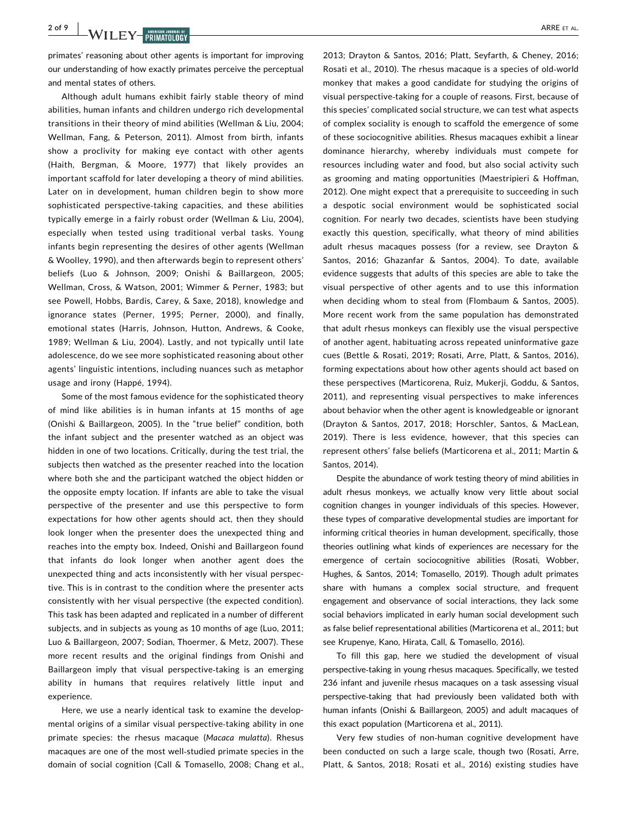**2 of 9 WILEY-BRIMATOLOGY ARRE ET AL.** 

primates' reasoning about other agents is important for improving our understanding of how exactly primates perceive the perceptual and mental states of others.

Although adult humans exhibit fairly stable theory of mind abilities, human infants and children undergo rich developmental transitions in their theory of mind abilities (Wellman & Liu, 2004; Wellman, Fang, & Peterson, 2011). Almost from birth, infants show a proclivity for making eye contact with other agents (Haith, Bergman, & Moore, 1977) that likely provides an important scaffold for later developing a theory of mind abilities. Later on in development, human children begin to show more sophisticated perspective-taking capacities, and these abilities typically emerge in a fairly robust order (Wellman & Liu, 2004), especially when tested using traditional verbal tasks. Young infants begin representing the desires of other agents (Wellman & Woolley, 1990), and then afterwards begin to represent others' beliefs (Luo & Johnson, 2009; Onishi & Baillargeon, 2005; Wellman, Cross, & Watson, 2001; Wimmer & Perner, 1983; but see Powell, Hobbs, Bardis, Carey, & Saxe, 2018), knowledge and ignorance states (Perner, 1995; Perner, 2000), and finally, emotional states (Harris, Johnson, Hutton, Andrews, & Cooke, 1989; Wellman & Liu, 2004). Lastly, and not typically until late adolescence, do we see more sophisticated reasoning about other agents' linguistic intentions, including nuances such as metaphor usage and irony (Happé, 1994).

Some of the most famous evidence for the sophisticated theory of mind like abilities is in human infants at 15 months of age (Onishi & Baillargeon, 2005). In the "true belief" condition, both the infant subject and the presenter watched as an object was hidden in one of two locations. Critically, during the test trial, the subjects then watched as the presenter reached into the location where both she and the participant watched the object hidden or the opposite empty location. If infants are able to take the visual perspective of the presenter and use this perspective to form expectations for how other agents should act, then they should look longer when the presenter does the unexpected thing and reaches into the empty box. Indeed, Onishi and Baillargeon found that infants do look longer when another agent does the unexpected thing and acts inconsistently with her visual perspective. This is in contrast to the condition where the presenter acts consistently with her visual perspective (the expected condition). This task has been adapted and replicated in a number of different subjects, and in subjects as young as 10 months of age (Luo, 2011; Luo & Baillargeon, 2007; Sodian, Thoermer, & Metz, 2007). These more recent results and the original findings from Onishi and Baillargeon imply that visual perspective‐taking is an emerging ability in humans that requires relatively little input and experience.

Here, we use a nearly identical task to examine the developmental origins of a similar visual perspective‐taking ability in one primate species: the rhesus macaque (Macaca mulatta). Rhesus macaques are one of the most well‐studied primate species in the domain of social cognition (Call & Tomasello, 2008; Chang et al.,

2013; Drayton & Santos, 2016; Platt, Seyfarth, & Cheney, 2016; Rosati et al., 2010). The rhesus macaque is a species of old‐world monkey that makes a good candidate for studying the origins of visual perspective‐taking for a couple of reasons. First, because of this species' complicated social structure, we can test what aspects of complex sociality is enough to scaffold the emergence of some of these sociocognitive abilities. Rhesus macaques exhibit a linear dominance hierarchy, whereby individuals must compete for resources including water and food, but also social activity such as grooming and mating opportunities (Maestripieri & Hoffman, 2012). One might expect that a prerequisite to succeeding in such a despotic social environment would be sophisticated social cognition. For nearly two decades, scientists have been studying exactly this question, specifically, what theory of mind abilities adult rhesus macaques possess (for a review, see Drayton & Santos, 2016; Ghazanfar & Santos, 2004). To date, available evidence suggests that adults of this species are able to take the visual perspective of other agents and to use this information when deciding whom to steal from (Flombaum & Santos, 2005). More recent work from the same population has demonstrated that adult rhesus monkeys can flexibly use the visual perspective of another agent, habituating across repeated uninformative gaze cues (Bettle & Rosati, 2019; Rosati, Arre, Platt, & Santos, 2016), forming expectations about how other agents should act based on these perspectives (Marticorena, Ruiz, Mukerji, Goddu, & Santos, 2011), and representing visual perspectives to make inferences about behavior when the other agent is knowledgeable or ignorant (Drayton & Santos, 2017, 2018; Horschler, Santos, & MacLean, 2019). There is less evidence, however, that this species can represent others' false beliefs (Marticorena et al., 2011; Martin & Santos, 2014).

Despite the abundance of work testing theory of mind abilities in adult rhesus monkeys, we actually know very little about social cognition changes in younger individuals of this species. However, these types of comparative developmental studies are important for informing critical theories in human development, specifically, those theories outlining what kinds of experiences are necessary for the emergence of certain sociocognitive abilities (Rosati, Wobber, Hughes, & Santos, 2014; Tomasello, 2019). Though adult primates share with humans a complex social structure, and frequent engagement and observance of social interactions, they lack some social behaviors implicated in early human social development such as false belief representational abilities (Marticorena et al., 2011; but see Krupenye, Kano, Hirata, Call, & Tomasello, 2016).

To fill this gap, here we studied the development of visual perspective‐taking in young rhesus macaques. Specifically, we tested 236 infant and juvenile rhesus macaques on a task assessing visual perspective-taking that had previously been validated both with human infants (Onishi & Baillargeon, 2005) and adult macaques of this exact population (Marticorena et al., 2011).

Very few studies of non‐human cognitive development have been conducted on such a large scale, though two (Rosati, Arre, Platt, & Santos, 2018; Rosati et al., 2016) existing studies have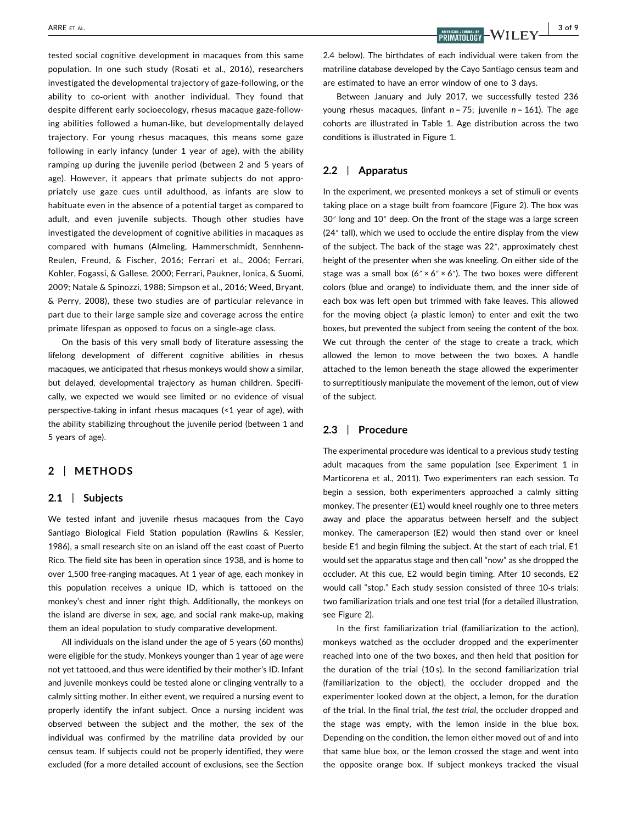tested social cognitive development in macaques from this same population. In one such study (Rosati et al., 2016), researchers investigated the developmental trajectory of gaze‐following, or the ability to co-orient with another individual. They found that despite different early socioecology, rhesus macaque gaze‐following abilities followed a human‐like, but developmentally delayed trajectory. For young rhesus macaques, this means some gaze following in early infancy (under 1 year of age), with the ability ramping up during the juvenile period (between 2 and 5 years of age). However, it appears that primate subjects do not appropriately use gaze cues until adulthood, as infants are slow to habituate even in the absence of a potential target as compared to adult, and even juvenile subjects. Though other studies have investigated the development of cognitive abilities in macaques as compared with humans (Almeling, Hammerschmidt, Sennhenn‐ Reulen, Freund, & Fischer, 2016; Ferrari et al., 2006; Ferrari, Kohler, Fogassi, & Gallese, 2000; Ferrari, Paukner, Ionica, & Suomi, 2009; Natale & Spinozzi, 1988; Simpson et al., 2016; Weed, Bryant, & Perry, 2008), these two studies are of particular relevance in part due to their large sample size and coverage across the entire primate lifespan as opposed to focus on a single‐age class.

On the basis of this very small body of literature assessing the lifelong development of different cognitive abilities in rhesus macaques, we anticipated that rhesus monkeys would show a similar, but delayed, developmental trajectory as human children. Specifically, we expected we would see limited or no evidence of visual perspective‐taking in infant rhesus macaques (<1 year of age), with the ability stabilizing throughout the juvenile period (between 1 and 5 years of age).

## 2 | METHODS

#### 2.1 | Subjects

We tested infant and juvenile rhesus macaques from the Cayo Santiago Biological Field Station population (Rawlins & Kessler, 1986), a small research site on an island off the east coast of Puerto Rico. The field site has been in operation since 1938, and is home to over 1,500 free‐ranging macaques. At 1 year of age, each monkey in this population receives a unique ID, which is tattooed on the monkey's chest and inner right thigh. Additionally, the monkeys on the island are diverse in sex, age, and social rank make‐up, making them an ideal population to study comparative development.

All individuals on the island under the age of 5 years (60 months) were eligible for the study. Monkeys younger than 1 year of age were not yet tattooed, and thus were identified by their mother's ID. Infant and juvenile monkeys could be tested alone or clinging ventrally to a calmly sitting mother. In either event, we required a nursing event to properly identify the infant subject. Once a nursing incident was observed between the subject and the mother, the sex of the individual was confirmed by the matriline data provided by our census team. If subjects could not be properly identified, they were excluded (for a more detailed account of exclusions, see the Section

2.4 below). The birthdates of each individual were taken from the matriline database developed by the Cayo Santiago census team and are estimated to have an error window of one to 3 days.

Between January and July 2017, we successfully tested 236 young rhesus macaques, (infant  $n = 75$ ; juvenile  $n = 161$ ). The age cohorts are illustrated in Table 1. Age distribution across the two conditions is illustrated in Figure 1.

## 2.2 | Apparatus

In the experiment, we presented monkeys a set of stimuli or events taking place on a stage built from foamcore (Figure 2). The box was 30″ long and 10″ deep. On the front of the stage was a large screen (24″ tall), which we used to occlude the entire display from the view of the subject. The back of the stage was 22″, approximately chest height of the presenter when she was kneeling. On either side of the stage was a small box  $(6'' \times 6'' \times 6'')$ . The two boxes were different colors (blue and orange) to individuate them, and the inner side of each box was left open but trimmed with fake leaves. This allowed for the moving object (a plastic lemon) to enter and exit the two boxes, but prevented the subject from seeing the content of the box. We cut through the center of the stage to create a track, which allowed the lemon to move between the two boxes. A handle attached to the lemon beneath the stage allowed the experimenter to surreptitiously manipulate the movement of the lemon, out of view of the subject.

## 2.3 | Procedure

The experimental procedure was identical to a previous study testing adult macaques from the same population (see Experiment 1 in Marticorena et al., 2011). Two experimenters ran each session. To begin a session, both experimenters approached a calmly sitting monkey. The presenter (E1) would kneel roughly one to three meters away and place the apparatus between herself and the subject monkey. The cameraperson (E2) would then stand over or kneel beside E1 and begin filming the subject. At the start of each trial, E1 would set the apparatus stage and then call "now" as she dropped the occluder. At this cue, E2 would begin timing. After 10 seconds, E2 would call "stop." Each study session consisted of three 10‐s trials: two familiarization trials and one test trial (for a detailed illustration, see Figure 2).

In the first familiarization trial (familiarization to the action), monkeys watched as the occluder dropped and the experimenter reached into one of the two boxes, and then held that position for the duration of the trial (10 s). In the second familiarization trial (familiarization to the object), the occluder dropped and the experimenter looked down at the object, a lemon, for the duration of the trial. In the final trial, the test trial, the occluder dropped and the stage was empty, with the lemon inside in the blue box. Depending on the condition, the lemon either moved out of and into that same blue box, or the lemon crossed the stage and went into the opposite orange box. If subject monkeys tracked the visual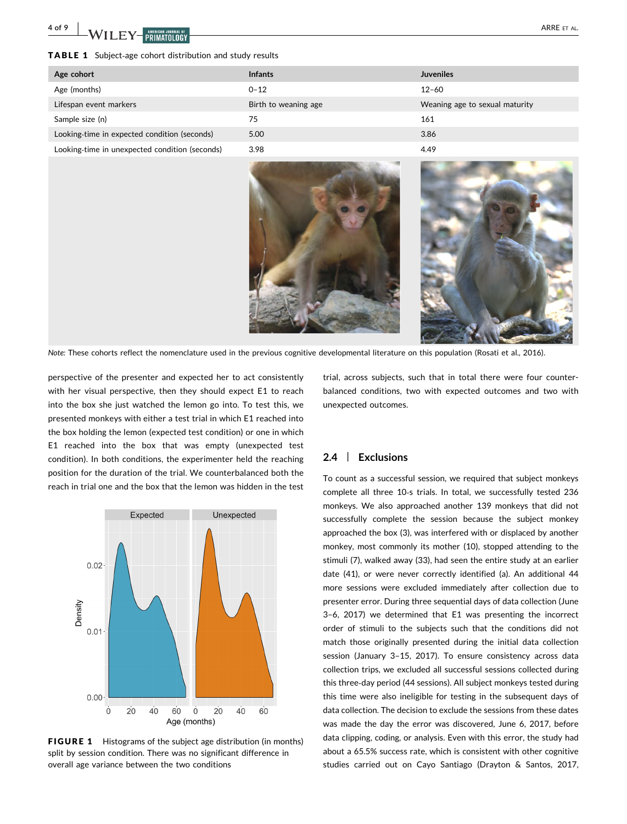**4 of 9 WILEY-MEDIANT ON ARRE** ET AL.

#### TABLE 1 Subject‐age cohort distribution and study results

| Age cohort                                     | <b>Infants</b>       | <b>Juveniles</b>               |
|------------------------------------------------|----------------------|--------------------------------|
| Age (months)                                   | $0 - 12$             | $12 - 60$                      |
| Lifespan event markers                         | Birth to weaning age | Weaning age to sexual maturity |
| Sample size (n)                                | 75                   | 161                            |
| Looking-time in expected condition (seconds)   | 5.00                 | 3.86                           |
| Looking-time in unexpected condition (seconds) | 3.98                 | 4.49                           |



Note: These cohorts reflect the nomenclature used in the previous cognitive developmental literature on this population (Rosati et al., 2016).

perspective of the presenter and expected her to act consistently with her visual perspective, then they should expect E1 to reach into the box she just watched the lemon go into. To test this, we presented monkeys with either a test trial in which E1 reached into the box holding the lemon (expected test condition) or one in which E1 reached into the box that was empty (unexpected test condition). In both conditions, the experimenter held the reaching position for the duration of the trial. We counterbalanced both the reach in trial one and the box that the lemon was hidden in the test



FIGURE 1 Histograms of the subject age distribution (in months) split by session condition. There was no significant difference in overall age variance between the two conditions

trial, across subjects, such that in total there were four counterbalanced conditions, two with expected outcomes and two with unexpected outcomes.

## 2.4 | Exclusions

To count as a successful session, we required that subject monkeys complete all three 10‐s trials. In total, we successfully tested 236 monkeys. We also approached another 139 monkeys that did not successfully complete the session because the subject monkey approached the box (3), was interfered with or displaced by another monkey, most commonly its mother (10), stopped attending to the stimuli (7), walked away (33), had seen the entire study at an earlier date (41), or were never correctly identified (a). An additional 44 more sessions were excluded immediately after collection due to presenter error. During three sequential days of data collection (June 3–6, 2017) we determined that E1 was presenting the incorrect order of stimuli to the subjects such that the conditions did not match those originally presented during the initial data collection session (January 3–15, 2017). To ensure consistency across data collection trips, we excluded all successful sessions collected during this three‐day period (44 sessions). All subject monkeys tested during this time were also ineligible for testing in the subsequent days of data collection. The decision to exclude the sessions from these dates was made the day the error was discovered, June 6, 2017, before data clipping, coding, or analysis. Even with this error, the study had about a 65.5% success rate, which is consistent with other cognitive studies carried out on Cayo Santiago (Drayton & Santos, 2017,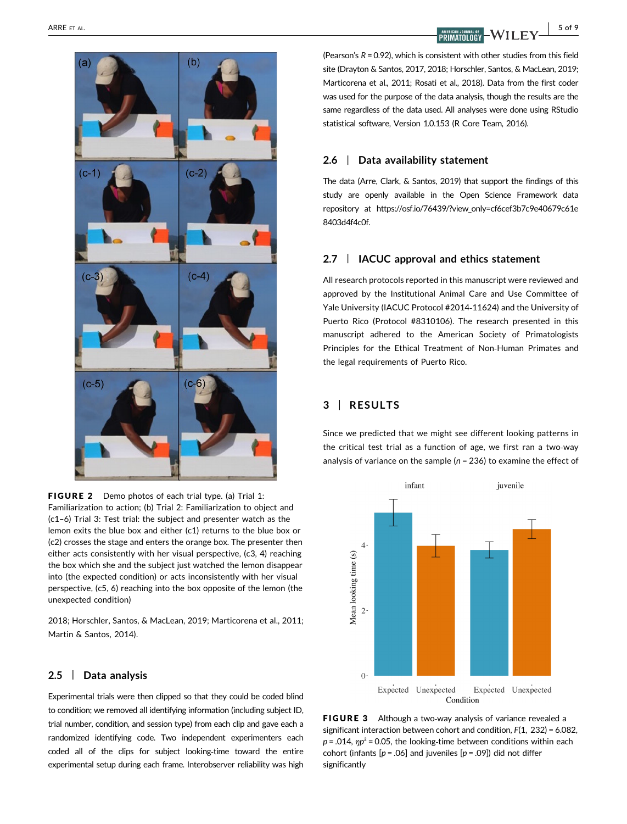

FIGURE 2 Demo photos of each trial type. (a) Trial 1: Familiarization to action; (b) Trial 2: Familiarization to object and (c1–6) Trial 3: Test trial: the subject and presenter watch as the lemon exits the blue box and either (c1) returns to the blue box or (c2) crosses the stage and enters the orange box. The presenter then either acts consistently with her visual perspective, (c3, 4) reaching the box which she and the subject just watched the lemon disappear into (the expected condition) or acts inconsistently with her visual perspective, (c5, 6) reaching into the box opposite of the lemon (the unexpected condition)

2018; Horschler, Santos, & MacLean, 2019; Marticorena et al., 2011; Martin & Santos, 2014).

#### 2.5 | Data analysis

Experimental trials were then clipped so that they could be coded blind to condition; we removed all identifying information (including subject ID, trial number, condition, and session type) from each clip and gave each a randomized identifying code. Two independent experimenters each coded all of the clips for subject looking‐time toward the entire experimental setup during each frame. Interobserver reliability was high

(Pearson's  $R = 0.92$ ), which is consistent with other studies from this field site (Drayton & Santos, 2017, 2018; Horschler, Santos, & MacLean, 2019; Marticorena et al., 2011; Rosati et al., 2018). Data from the first coder was used for the purpose of the data analysis, though the results are the same regardless of the data used. All analyses were done using RStudio statistical software, Version 1.0.153 (R Core Team, 2016).

## 2.6 | Data availability statement

The data (Arre, Clark, & Santos, 2019) that support the findings of this study are openly available in the Open Science Framework data repository at https://osf.io/76439/?view only=cf6cef3b7c9e40679c61e [8403d4f4c0f](https://osf.io/76439/?view_only=cf6cef3b7c9e40679c61e8403d4f4c0f/).

# 2.7 | IACUC approval and ethics statement

All research protocols reported in this manuscript were reviewed and approved by the Institutional Animal Care and Use Committee of Yale University (IACUC Protocol #2014‐11624) and the University of Puerto Rico (Protocol #8310106). The research presented in this manuscript adhered to the American Society of Primatologists Principles for the Ethical Treatment of Non‐Human Primates and the legal requirements of Puerto Rico.

# 3 | RESULTS

Since we predicted that we might see different looking patterns in the critical test trial as a function of age, we first ran a two‐way analysis of variance on the sample ( $n = 236$ ) to examine the effect of



FIGURE 3 Although a two-way analysis of variance revealed a significant interaction between cohort and condition, F(1, 232) = 6.082,  $p = .014$ ,  $\eta p^2 = 0.05$ , the looking-time between conditions within each cohort (infants  $[p = .06]$  and juveniles  $[p = .09]$ ) did not differ significantly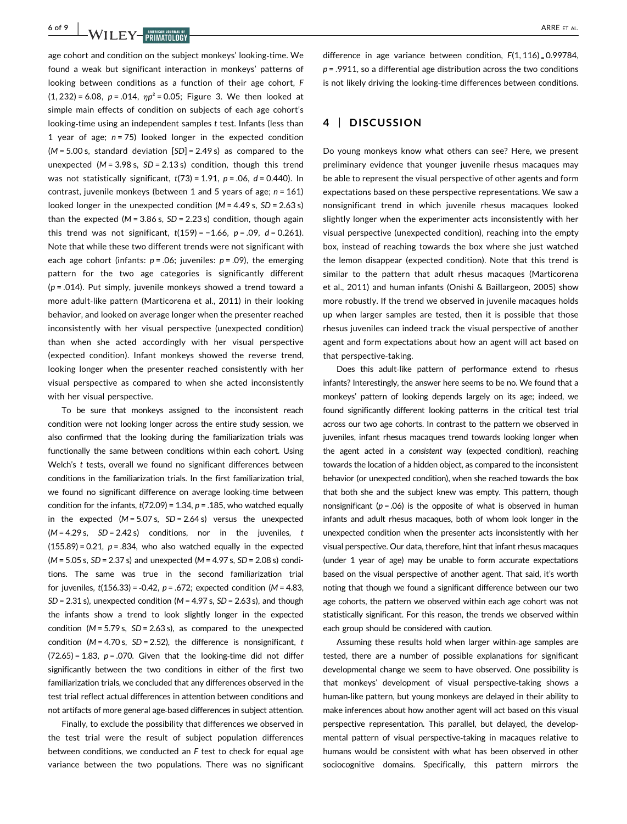**6 of 9 WILEY-BRIMATOLOGY ARRE ET AL.** 

age cohort and condition on the subject monkeys' looking-time. We found a weak but significant interaction in monkeys' patterns of looking between conditions as a function of their age cohort, F  $(1, 232) = 6.08$ ,  $p = .014$ ,  $np^2 = 0.05$ ; Figure 3. We then looked at simple main effects of condition on subjects of each age cohort's looking-time using an independent samples t test. Infants (less than 1 year of age;  $n = 75$ ) looked longer in the expected condition  $(M = 5.00 \text{ s}, \text{ standard deviation } [SD] = 2.49 \text{ s}$  as compared to the unexpected  $(M = 3.98 s, SD = 2.13 s)$  condition, though this trend was not statistically significant,  $t(73) = 1.91$ ,  $p = .06$ ,  $d = 0.440$ ). In contrast, juvenile monkeys (between 1 and 5 years of age;  $n = 161$ ) looked longer in the unexpected condition ( $M = 4.49$  s,  $SD = 2.63$  s) than the expected ( $M = 3.86$  s,  $SD = 2.23$  s) condition, though again this trend was not significant,  $t(159) = -1.66$ ,  $p = .09$ ,  $d = 0.261$ ). Note that while these two different trends were not significant with each age cohort (infants:  $p = .06$ ; juveniles:  $p = .09$ ), the emerging pattern for the two age categories is significantly different  $(p = .014)$ . Put simply, juvenile monkeys showed a trend toward a more adult‐like pattern (Marticorena et al., 2011) in their looking behavior, and looked on average longer when the presenter reached inconsistently with her visual perspective (unexpected condition) than when she acted accordingly with her visual perspective (expected condition). Infant monkeys showed the reverse trend, looking longer when the presenter reached consistently with her visual perspective as compared to when she acted inconsistently with her visual perspective.

To be sure that monkeys assigned to the inconsistent reach condition were not looking longer across the entire study session, we also confirmed that the looking during the familiarization trials was functionally the same between conditions within each cohort. Using Welch's t tests, overall we found no significant differences between conditions in the familiarization trials. In the first familiarization trial, we found no significant difference on average looking-time between condition for the infants,  $t(72.09) = 1.34$ ,  $p = .185$ , who watched equally in the expected  $(M = 5.07 s, SD = 2.64 s)$  versus the unexpected  $(M = 4.29 s, SD = 2.42 s)$  conditions, nor in the juveniles, t  $(155.89) = 0.21$ ,  $p = .834$ , who also watched equally in the expected  $(M = 5.05 \text{ s}, SD = 2.37 \text{ s})$  and unexpected  $(M = 4.97 \text{ s}, SD = 2.08 \text{ s})$  conditions. The same was true in the second familiarization trial for juveniles,  $t(156.33) = -0.42$ ,  $p = .672$ ; expected condition (M = 4.83,  $SD = 2.31$  s), unexpected condition (M = 4.97 s,  $SD = 2.63$  s), and though the infants show a trend to look slightly longer in the expected condition  $(M = 5.79 s, SD = 2.63 s)$ , as compared to the unexpected condition ( $M = 4.70$  s,  $SD = 2.52$ ), the difference is nonsignificant, t  $(72.65) = 1.83$ ,  $p = .070$ . Given that the looking-time did not differ significantly between the two conditions in either of the first two familiarization trials, we concluded that any differences observed in the test trial reflect actual differences in attention between conditions and not artifacts of more general age‐based differences in subject attention.

Finally, to exclude the possibility that differences we observed in the test trial were the result of subject population differences between conditions, we conducted an F test to check for equal age variance between the two populations. There was no significant

difference in age variance between condition,  $F(1, 116) = 0.99784$ ,  $p = .9911$ , so a differential age distribution across the two conditions is not likely driving the looking-time differences between conditions.

## 4 | DISCUSSION

Do young monkeys know what others can see? Here, we present preliminary evidence that younger juvenile rhesus macaques may be able to represent the visual perspective of other agents and form expectations based on these perspective representations. We saw a nonsignificant trend in which juvenile rhesus macaques looked slightly longer when the experimenter acts inconsistently with her visual perspective (unexpected condition), reaching into the empty box, instead of reaching towards the box where she just watched the lemon disappear (expected condition). Note that this trend is similar to the pattern that adult rhesus macaques (Marticorena et al., 2011) and human infants (Onishi & Baillargeon, 2005) show more robustly. If the trend we observed in juvenile macaques holds up when larger samples are tested, then it is possible that those rhesus juveniles can indeed track the visual perspective of another agent and form expectations about how an agent will act based on that perspective‐taking.

Does this adult‐like pattern of performance extend to rhesus infants? Interestingly, the answer here seems to be no. We found that a monkeys' pattern of looking depends largely on its age; indeed, we found significantly different looking patterns in the critical test trial across our two age cohorts. In contrast to the pattern we observed in juveniles, infant rhesus macaques trend towards looking longer when the agent acted in a consistent way (expected condition), reaching towards the location of a hidden object, as compared to the inconsistent behavior (or unexpected condition), when she reached towards the box that both she and the subject knew was empty. This pattern, though nonsignificant ( $p = .06$ ) is the opposite of what is observed in human infants and adult rhesus macaques, both of whom look longer in the unexpected condition when the presenter acts inconsistently with her visual perspective. Our data, therefore, hint that infant rhesus macaques (under 1 year of age) may be unable to form accurate expectations based on the visual perspective of another agent. That said, it's worth noting that though we found a significant difference between our two age cohorts, the pattern we observed within each age cohort was not statistically significant. For this reason, the trends we observed within each group should be considered with caution.

Assuming these results hold when larger within‐age samples are tested, there are a number of possible explanations for significant developmental change we seem to have observed. One possibility is that monkeys' development of visual perspective‐taking shows a human‐like pattern, but young monkeys are delayed in their ability to make inferences about how another agent will act based on this visual perspective representation. This parallel, but delayed, the developmental pattern of visual perspective‐taking in macaques relative to humans would be consistent with what has been observed in other sociocognitive domains. Specifically, this pattern mirrors the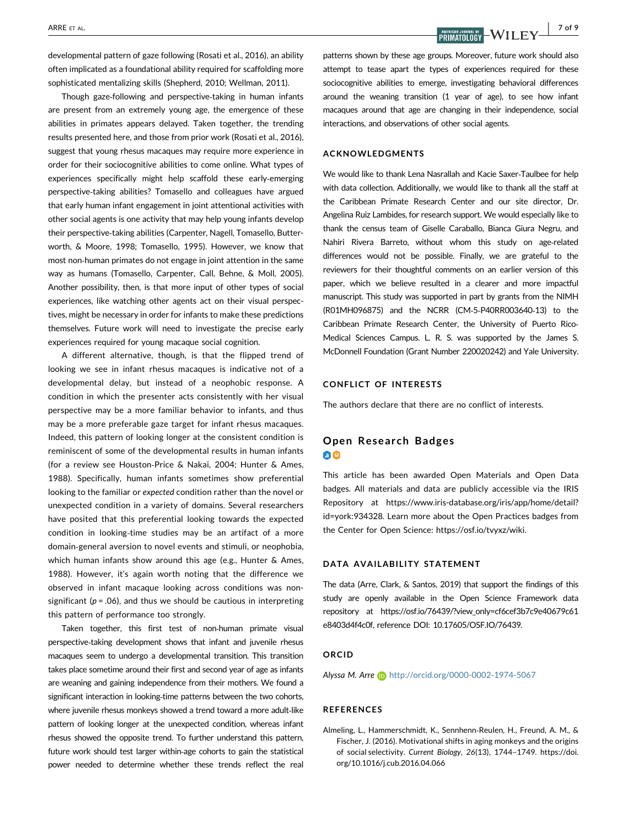developmental pattern of gaze following (Rosati et al., 2016), an ability often implicated as a foundational ability required for scaffolding more sophisticated mentalizing skills (Shepherd, 2010; Wellman, 2011).

Though gaze‐following and perspective‐taking in human infants are present from an extremely young age, the emergence of these abilities in primates appears delayed. Taken together, the trending results presented here, and those from prior work (Rosati et al., 2016), suggest that young rhesus macaques may require more experience in order for their sociocognitive abilities to come online. What types of experiences specifically might help scaffold these early-emerging perspective‐taking abilities? Tomasello and colleagues have argued that early human infant engagement in joint attentional activities with other social agents is one activity that may help young infants develop their perspective‐taking abilities (Carpenter, Nagell, Tomasello, Butterworth, & Moore, 1998; Tomasello, 1995). However, we know that most non‐human primates do not engage in joint attention in the same way as humans (Tomasello, Carpenter, Call, Behne, & Moll, 2005). Another possibility, then, is that more input of other types of social experiences, like watching other agents act on their visual perspectives, might be necessary in order for infants to make these predictions themselves. Future work will need to investigate the precise early experiences required for young macaque social cognition.

A different alternative, though, is that the flipped trend of looking we see in infant rhesus macaques is indicative not of a developmental delay, but instead of a neophobic response. A condition in which the presenter acts consistently with her visual perspective may be a more familiar behavior to infants, and thus may be a more preferable gaze target for infant rhesus macaques. Indeed, this pattern of looking longer at the consistent condition is reminiscent of some of the developmental results in human infants (for a review see Houston‐Price & Nakai, 2004; Hunter & Ames, 1988). Specifically, human infants sometimes show preferential looking to the familiar or expected condition rather than the novel or unexpected condition in a variety of domains. Several researchers have posited that this preferential looking towards the expected condition in looking-time studies may be an artifact of a more domain‐general aversion to novel events and stimuli, or neophobia, which human infants show around this age (e.g., Hunter & Ames, 1988). However, it's again worth noting that the difference we observed in infant macaque looking across conditions was nonsignificant ( $p = .06$ ), and thus we should be cautious in interpreting this pattern of performance too strongly.

Taken together, this first test of non‐human primate visual perspective-taking development shows that infant and juvenile rhesus macaques seem to undergo a developmental transition. This transition takes place sometime around their first and second year of age as infants are weaning and gaining independence from their mothers. We found a significant interaction in looking-time patterns between the two cohorts, where juvenile rhesus monkeys showed a trend toward a more adult‐like pattern of looking longer at the unexpected condition, whereas infant rhesus showed the opposite trend. To further understand this pattern, future work should test larger within‐age cohorts to gain the statistical power needed to determine whether these trends reflect the real

 $\overline{R}$  ARRE ET AL.  $\overline{R}$  and  $\overline{R}$  and  $\overline{R}$  and  $\overline{R}$  and  $\overline{R}$  and  $\overline{R}$  and  $\overline{R}$  and  $\overline{R}$  and  $\overline{R}$  and  $\overline{R}$  and  $\overline{R}$  and  $\overline{R}$  and  $\overline{R}$  and  $\overline{R}$  and  $\overline{R}$  and  $\overline{$ 

patterns shown by these age groups. Moreover, future work should also attempt to tease apart the types of experiences required for these sociocognitive abilities to emerge, investigating behavioral differences around the weaning transition (1 year of age), to see how infant macaques around that age are changing in their independence, social interactions, and observations of other social agents.

#### ACKNOWLEDGMENTS

We would like to thank Lena Nasrallah and Kacie Saxer‐Taulbee for help with data collection. Additionally, we would like to thank all the staff at the Caribbean Primate Research Center and our site director, Dr. Angelina Ruiz Lambides, for research support. We would especially like to thank the census team of Giselle Caraballo, Bianca Giura Negru, and Nahiri Rivera Barreto, without whom this study on age-related differences would not be possible. Finally, we are grateful to the reviewers for their thoughtful comments on an earlier version of this paper, which we believe resulted in a clearer and more impactful manuscript. This study was supported in part by grants from the NIMH (R01MH096875) and the NCRR (CM‐5‐P40RR003640‐13) to the Caribbean Primate Research Center, the University of Puerto Rico‐ Medical Sciences Campus. L. R. S. was supported by the James S. McDonnell Foundation (Grant Number 220020242) and Yale University.

#### CONFLICT OF INTERESTS

The authors declare that there are no conflict of interests.

# Open Research Badges 00

This article has been awarded Open Materials and Open Data badges. All materials and data are publicly accessible via the IRIS Repository at [https://www.iris-database.org/iris/app/home/detail?](https://www.iris-database.org/iris/app/home/detail?id=york:934328) [id=york:934328.](https://www.iris-database.org/iris/app/home/detail?id=york:934328) Learn more about the Open Practices badges from the Center for Open Science:<https://osf.io/tvyxz/wiki>.

#### DATA AVAILABILITY STATEMENT

The data (Arre, Clark, & Santos, 2019) that support the findings of this study are openly available in the Open Science Framework data repository at [https://osf.io/76439/?view\\_only=cf6cef3b7c9e40679c61](https://osf.io/76439/?view_only=cf6cef3b7c9e40679c61e8403d4f4c0f) [e8403d4f4c0f](https://osf.io/76439/?view_only=cf6cef3b7c9e40679c61e8403d4f4c0f), reference DOI: [10.17605/OSF.IO/76439.](https://doi.org/10.17605/OSF.IO/76439)

#### ORCID

Alyssa M. Arre D <http://orcid.org/0000-0002-1974-5067>

#### **REFERENCES**

Almeling, L., Hammerschmidt, K., Sennhenn‐Reulen, H., Freund, A. M., & Fischer, J. (2016). Motivational shifts in aging monkeys and the origins of social selectivity. Current Biology, 26(13), 1744–1749. [https://doi.](https://doi.org/10.1016/j.cub.2016.04.066) [org/10.1016/j.cub.2016.04.066](https://doi.org/10.1016/j.cub.2016.04.066)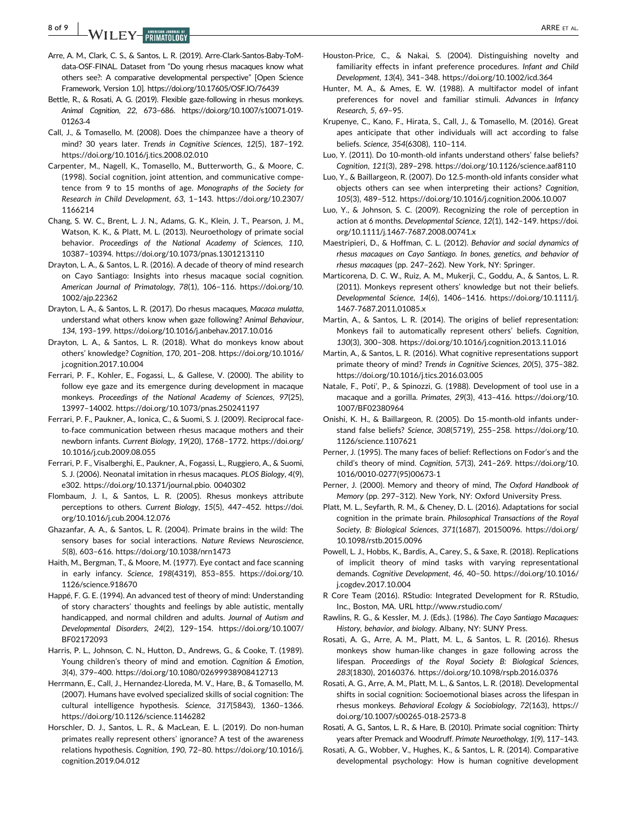8 of 9 | **A** *A I* **I I A RRE** ET AL.

- Arre, A. M., Clark, C. S., & Santos, L. R. (2019). Arre‐Clark‐Santos‐Baby‐ToM‐ data‐OSF‐FINAL. Dataset from "Do young rhesus macaques know what others see?: A comparative developmental perspective" [Open Science Framework, Version 1.0]. https://doi.org/10.17605/OSF.IO/76439
- Bettle, R., & Rosati, A. G. (2019). Flexible gaze-following in rhesus monkeys. Animal Cognition, 22, 673–686. [https://doi.org/10.1007/s10071](https://doi.org/10.1007/s10071-019-01263-4)‐019‐ [01263](https://doi.org/10.1007/s10071-019-01263-4)‐4
- Call, J., & Tomasello, M. (2008). Does the chimpanzee have a theory of mind? 30 years later. Trends in Cognitive Sciences, 12(5), 187–192. <https://doi.org/10.1016/j.tics.2008.02.010>
- Carpenter, M., Nagell, K., Tomasello, M., Butterworth, G., & Moore, C. (1998). Social cognition, joint attention, and communicative competence from 9 to 15 months of age. Monographs of the Society for Research in Child Development, 63, 1–143. [https://doi.org/10.2307/](https://doi.org/10.2307/1166214) [1166214](https://doi.org/10.2307/1166214)
- Chang, S. W. C., Brent, L. J. N., Adams, G. K., Klein, J. T., Pearson, J. M., Watson, K. K., & Platt, M. L. (2013). Neuroethology of primate social behavior. Proceedings of the National Academy of Sciences, 110, 10387–10394.<https://doi.org/10.1073/pnas.1301213110>
- Drayton, L. A., & Santos, L. R. (2016). A decade of theory of mind research on Cayo Santiago: Insights into rhesus macaque social cognition. American Journal of Primatology, 78(1), 106–116. [https://doi.org/10.](https://doi.org/10.1002/ajp.22362) [1002/ajp.22362](https://doi.org/10.1002/ajp.22362)
- Drayton, L. A., & Santos, L. R. (2017). Do rhesus macaques, Macaca mulatta, understand what others know when gaze following? Animal Behaviour, 134, 193–199.<https://doi.org/10.1016/j.anbehav.2017.10.016>
- Drayton, L. A., & Santos, L. R. (2018). What do monkeys know about others' knowledge? Cognition, 170, 201–208. [https://doi.org/10.1016/](https://doi.org/10.1016/j.cognition.2017.10.004) [j.cognition.2017.10.004](https://doi.org/10.1016/j.cognition.2017.10.004)
- Ferrari, P. F., Kohler, E., Fogassi, L., & Gallese, V. (2000). The ability to follow eye gaze and its emergence during development in macaque monkeys. Proceedings of the National Academy of Sciences, 97(25), 13997–14002.<https://doi.org/10.1073/pnas.250241197>
- Ferrari, P. F., Paukner, A., Ionica, C., & Suomi, S. J. (2009). Reciprocal face‐ to‐face communication between rhesus macaque mothers and their newborn infants. Current Biology, 19(20), 1768–1772. [https://doi.org/](https://doi.org/10.1016/j.cub.2009.08.055) [10.1016/j.cub.2009.08.055](https://doi.org/10.1016/j.cub.2009.08.055)
- Ferrari, P. F., Visalberghi, E., Paukner, A., Fogassi, L., Ruggiero, A., & Suomi, S. J. (2006). Neonatal imitation in rhesus macaques. PLOS Biology, 4(9), e302.<https://doi.org/10.1371/journal.pbio>. 0040302
- Flombaum, J. I., & Santos, L. R. (2005). Rhesus monkeys attribute perceptions to others. Current Biology, 15(5), 447–452. [https://doi.](https://doi.org/10.1016/j.cub.2004.12.076) [org/10.1016/j.cub.2004.12.076](https://doi.org/10.1016/j.cub.2004.12.076)
- Ghazanfar, A. A., & Santos, L. R. (2004). Primate brains in the wild: The sensory bases for social interactions. Nature Reviews Neuroscience, 5(8), 603–616.<https://doi.org/10.1038/nrn1473>
- Haith, M., Bergman, T., & Moore, M. (1977). Eye contact and face scanning in early infancy. Science, 198(4319), 853–855. [https://doi.org/10.](https://doi.org/10.1126/science.918670) [1126/science.918670](https://doi.org/10.1126/science.918670)
- Happé, F. G. E. (1994). An advanced test of theory of mind: Understanding of story characters' thoughts and feelings by able autistic, mentally handicapped, and normal children and adults. Journal of Autism and Developmental Disorders, 24(2), 129–154. [https://doi.org/10.1007/](https://doi.org/10.1007/BF02172093) [BF02172093](https://doi.org/10.1007/BF02172093)
- Harris, P. L., Johnson, C. N., Hutton, D., Andrews, G., & Cooke, T. (1989). Young children's theory of mind and emotion. Cognition & Emotion, 3(4), 379–400.<https://doi.org/10.1080/02699938908412713>
- Herrmann, E., Call, J., Hernandez‐Lloreda, M. V., Hare, B., & Tomasello, M. (2007). Humans have evolved specialized skills of social cognition: The cultural intelligence hypothesis. Science, 317(5843), 1360–1366. <https://doi.org/10.1126/science.1146282>
- Horschler, D. J., Santos, L. R., & MacLean, E. L. (2019). Do non‐human primates really represent others' ignorance? A test of the awareness relations hypothesis. Cognition, 190, 72–80. [https://doi.org/10.1016/j.](https://doi.org/10.1016/j.cognition.2019.04.012) [cognition.2019.04.012](https://doi.org/10.1016/j.cognition.2019.04.012)
- Houston‐Price, C., & Nakai, S. (2004). Distinguishing novelty and familiarity effects in infant preference procedures. Infant and Child Development, 13(4), 341–348.<https://doi.org/10.1002/icd.364>
- Hunter, M. A., & Ames, E. W. (1988). A multifactor model of infant preferences for novel and familiar stimuli. Advances in Infancy Research, 5, 69–95.
- Krupenye, C., Kano, F., Hirata, S., Call, J., & Tomasello, M. (2016). Great apes anticipate that other individuals will act according to false beliefs. Science, 354(6308), 110–114.
- Luo, Y. (2011). Do 10‐month‐old infants understand others' false beliefs? Cognition, 121(3), 289–298.<https://doi.org/10.1126/science.aaf8110>
- Luo, Y., & Baillargeon, R. (2007). Do 12.5‐month‐old infants consider what objects others can see when interpreting their actions? Cognition, 105(3), 489–512.<https://doi.org/10.1016/j.cognition.2006.10.007>
- Luo, Y., & Johnson, S. C. (2009). Recognizing the role of perception in action at 6 months. Developmental Science, 12(1), 142–149. [https://doi.](https://doi.org/10.1111/j.1467-7687.2008.00741.x) [org/10.1111/j.1467](https://doi.org/10.1111/j.1467-7687.2008.00741.x)‐7687.2008.00741.x
- Maestripieri, D., & Hoffman, C. L. (2012). Behavior and social dynamics of rhesus macaques on Cayo Santiago. In bones, genetics, and behavior of rhesus macaques (pp. 247–262). New York, NY: Springer.
- Marticorena, D. C. W., Ruiz, A. M., Mukerji, C., Goddu, A., & Santos, L. R. (2011). Monkeys represent others' knowledge but not their beliefs. Developmental Science, 14(6), 1406–1416. [https://doi.org/10.1111/j.](https://doi.org/10.1111/j.1467-7687.2011.01085.x) 1467‐[7687.2011.01085.x](https://doi.org/10.1111/j.1467-7687.2011.01085.x)
- Martin, A., & Santos, L. R. (2014). The origins of belief representation: Monkeys fail to automatically represent others' beliefs. Cognition, 130(3), 300–308.<https://doi.org/10.1016/j.cognition.2013.11.016>
- Martin, A., & Santos, L. R. (2016). What cognitive representations support primate theory of mind? Trends in Cognitive Sciences, 20(5), 375–382. <https://doi.org/10.1016/j.tics.2016.03.005>
- Natale, F., Poti', P., & Spinozzi, G. (1988). Development of tool use in a macaque and a gorilla. Primates, 29(3), 413–416. [https://doi.org/10.](https://doi.org/10.1007/BF02380964) [1007/BF02380964](https://doi.org/10.1007/BF02380964)
- Onishi, K. H., & Baillargeon, R. (2005). Do 15‐month‐old infants understand false beliefs? Science, 308(5719), 255–258. [https://doi.org/10.](https://doi.org/10.1126/science.1107621) [1126/science.1107621](https://doi.org/10.1126/science.1107621)
- Perner, J. (1995). The many faces of belief: Reflections on Fodor's and the child's theory of mind. Cognition, 57(3), 241–269. [https://doi.org/10.](https://doi.org/10.1016/0010-0277(95)00673-1) 1016/0010‐[0277\(95\)00673](https://doi.org/10.1016/0010-0277(95)00673-1)‐1
- Perner, J. (2000). Memory and theory of mind, The Oxford Handbook of Memory (pp. 297–312). New York, NY: Oxford University Press.
- Platt, M. L., Seyfarth, R. M., & Cheney, D. L. (2016). Adaptations for social cognition in the primate brain. Philosophical Transactions of the Royal Society, B: Biological Sciences, 371(1687), 20150096. [https://doi.org/](https://doi.org/10.1098/rstb.2015.0096) [10.1098/rstb.2015.0096](https://doi.org/10.1098/rstb.2015.0096)
- Powell, L. J., Hobbs, K., Bardis, A., Carey, S., & Saxe, R. (2018). Replications of implicit theory of mind tasks with varying representational demands. Cognitive Development, 46, 40–50. [https://doi.org/10.1016/](https://doi.org/10.1016/j.cogdev.2017.10.004) [j.cogdev.2017.10.004](https://doi.org/10.1016/j.cogdev.2017.10.004)
- R Core Team (2016). RStudio: Integrated Development for R. RStudio, Inc., Boston, MA. URL<http://www.rstudio.com/>
- Rawlins, R. G., & Kessler, M. J. (Eds.). (1986). The Cayo Santiago Macaques: History, behavior, and biology. Albany, NY: SUNY Press.
- Rosati, A. G., Arre, A. M., Platt, M. L., & Santos, L. R. (2016). Rhesus monkeys show human‐like changes in gaze following across the lifespan. Proceedings of the Royal Society B: Biological Sciences, 283(1830), 20160376.<https://doi.org/10.1098/rspb.2016.0376>
- Rosati, A. G., Arre, A. M., Platt, M. L., & Santos, L. R. (2018). Developmental shifts in social cognition: Socioemotional biases across the lifespan in rhesus monkeys. Behavioral Ecology & Sociobiology, 72(163), [https://](https://doi.org/10.1007/s00265-018-2573-8) [doi.org/10.1007/s00265](https://doi.org/10.1007/s00265-018-2573-8)‐018‐2573‐8
- Rosati, A. G., Santos, L. R., & Hare, B. (2010). Primate social cognition: Thirty years after Premack and Woodruff. Primate Neuroethology, 1(9), 117–143.
- Rosati, A. G., Wobber, V., Hughes, K., & Santos, L. R. (2014). Comparative developmental psychology: How is human cognitive development